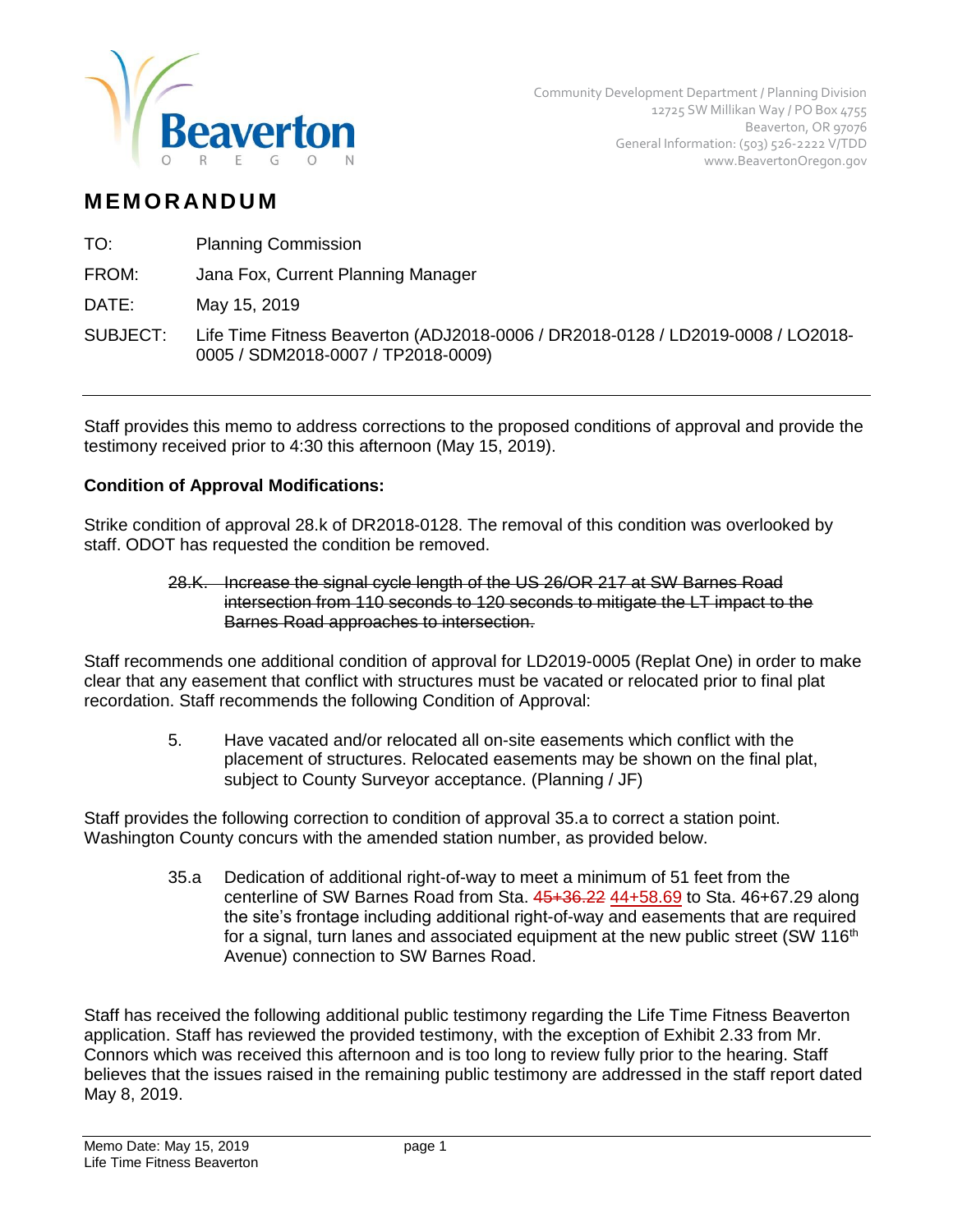

## **M EM O R AN D U M**

TO: Planning Commission

FROM: Jana Fox, Current Planning Manager

DATE: May 15, 2019

SUBJECT: Life Time Fitness Beaverton (ADJ2018-0006 / DR2018-0128 / LD2019-0008 / LO2018- 0005 / SDM2018-0007 / TP2018-0009)

Staff provides this memo to address corrections to the proposed conditions of approval and provide the testimony received prior to 4:30 this afternoon (May 15, 2019).

## **Condition of Approval Modifications:**

Strike condition of approval 28.k of DR2018-0128. The removal of this condition was overlooked by staff. ODOT has requested the condition be removed.

> 28.K. Increase the signal cycle length of the US 26/OR 217 at SW Barnes Road intersection from 110 seconds to 120 seconds to mitigate the LT impact to the Barnes Road approaches to intersection.

Staff recommends one additional condition of approval for LD2019-0005 (Replat One) in order to make clear that any easement that conflict with structures must be vacated or relocated prior to final plat recordation. Staff recommends the following Condition of Approval:

> 5. Have vacated and/or relocated all on-site easements which conflict with the placement of structures. Relocated easements may be shown on the final plat, subject to County Surveyor acceptance. (Planning / JF)

Staff provides the following correction to condition of approval 35.a to correct a station point. Washington County concurs with the amended station number, as provided below.

> 35.a Dedication of additional right-of-way to meet a minimum of 51 feet from the centerline of SW Barnes Road from Sta. 45+36.22 44+58.69 to Sta. 46+67.29 along the site's frontage including additional right-of-way and easements that are required for a signal, turn lanes and associated equipment at the new public street (SW  $116<sup>th</sup>$ Avenue) connection to SW Barnes Road.

Staff has received the following additional public testimony regarding the Life Time Fitness Beaverton application. Staff has reviewed the provided testimony, with the exception of Exhibit 2.33 from Mr. Connors which was received this afternoon and is too long to review fully prior to the hearing. Staff believes that the issues raised in the remaining public testimony are addressed in the staff report dated May 8, 2019.